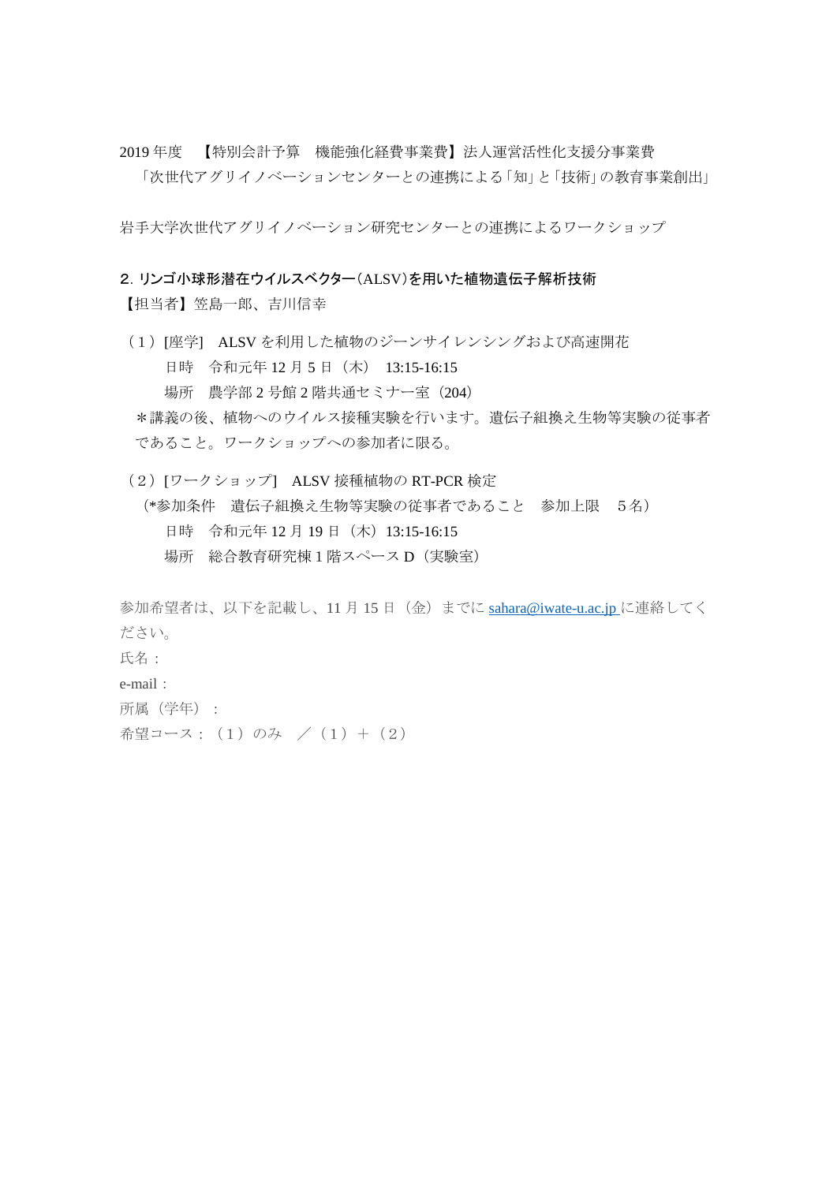2019 年度 【特別会計予算 機能強化経費事業費】法人運営活性化支援分事業費

「次世代アグリイノベーションセンターとの連携による「知」と「技術」の教育事業創出」

岩手大学次世代アグリイノベーション研究センターとの連携によるワークショップ

## 2.リンゴ小球形潜在ウイルスベクター(ALSV)を用いた植物遺伝子解析技術

【担当者】笠島一郎、吉川信幸

(1) [座学] ALSV を利用した植物のジーンサイレンシングおよび高速開花 日時 令和元年 12 月 5 日(木) 13:15-16:15 場所 農学部 2 号館 2 階共通セミナー室 (204) \*講義の後、植物へのウイルス接種実験を行います。遺伝子組換え生物等実験の従事者

であること。ワークショップへの参加者に限る。

(2)[ワークショップ] ALSV 接種植物の RT-PCR 検定 (\*参加条件 遺伝子組換え生物等実験の従事者であること 参加上限 5名) 日時 令和元年 12 月 19 日(木)13:15-16:15 場所 総合教育研究棟1階スペース D(実験室)

参加希望者は、以下を記載し、11 月 15 日(金)までに [sahara@iwate-u.ac.jp](mailto:sahara@iwate-u.ac.jp) に連絡してく ださい。 氏名: e-mail: 所属(学年):

希望コース: (1)のみ / (1) + (2)